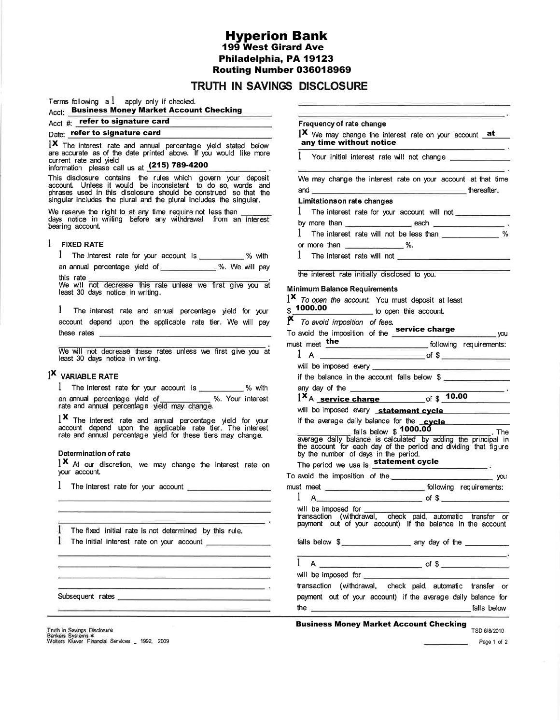**Hyperion Bank 199 West Girard Ave** Philadelphia, PA 19123 Routing Number 036018969

# TRUTH IN SAVINGS DISCLOSURE

\$

Terms following  $a \, l$  apply only if checked.

# **Acct: Business Money Market Account Checking**

# Acct #: refer to signature card

# Date: refer to signature card

IX The interest rate and annual percentage yield stated below are accurate as of the date printed above. If you would like more current rate and yield information please call us at  $(215)$  789-4200

This disclosure contains the rules which govern your deposit<br>account. Unless it would be inconsistent to do so, words and<br>phrases used in this disclosure should be construed so that the<br>singular includes the plural and the

We reserve the right to at any time require not less than days notice in writing before any withdrawal from an interest bearing account.

### $1$  FIXED RATE

1 The interest rate for your account is \_\_\_\_\_\_\_\_\_\_ % with an annual percentage yield of \_\_\_\_\_\_\_\_\_\_\_\_\_ %. We will pay

this rate We will not decrease this rate unless we first give you at least 30 days notice in writing.

1 The interest rate and annual percentage yield for your account depend upon the applicable rate tier. We will pay these rates **the contract of the contract of the contract of the contract of the contract of the contract of the contract of the contract of the contract of the contract of the contract of the contract of the contract of t** 

We will not decrease these rates unless we first give you at least 30 days notice in writing.

## $1^{\mathsf{X}}$  VARIABLE RATE

1 The interest rate for your account is \_\_\_\_\_\_\_\_\_\_\_ % with an annual percentage yield of 3%. Your interest<br>rate and annual percentage yield may change.

1X The interest rate and annual percentage yield for your account depend upon the applicable rate tier. The interest rate and annual percentage yield for these tiers may change.

### **Determination of rate**

1X At our discretion, we may change the interest rate on your account.

1 The interest rate for your account \_\_\_\_\_\_\_\_\_\_\_\_\_\_\_

I The fixed initial rate is not determined by this rule. 1 The initial interest rate on your account \_\_\_\_\_\_\_

Subsequent rates

and the control of the control of the control of

Frequency of rate change **1X** We may change the interest rate on your account **at** any time without notice 1 Your initial interest rate will not change \_ We may change the interest rate on your account at that time **Example 20** intervalse thereafter. and the contract of the contract of the contract of the contract of the contract of the contract of the contract of the contract of the contract of the contract of the contract of the contract of the contract of the contra **Limitationson rate changes** 1 The interest rate for your account will not \_\_\_\_\_\_\_\_\_\_\_ 1 The interest rate will not be less than \_\_\_\_\_\_\_\_\_\_\_\_\_\_\_% or more than  $\frac{1}{2}$  %. 1 The interest rate will not the interest rate initially disclosed to you. Minimum Balance Requirements  $1^{\times}$  To open the account. You must deposit at least 1000.00 to open this account. **N** To avoid imposition of fees.<br>To avoid the imposition of the **Service charge VOU** following requirements: must meet the will be imposed every if the balance in the account falls below \$ any day of the **container and the container and the series of the series of the series of the series of the series**  $1^{\mathbf{X}}$ A service charge of \$  $10.00$ will be imposed every statement cycle if the average daily balance for the cycle

Falls below \$ 1000.00<br>Falls below \$ 1000.00<br>The average daily balance is calculated by adding the principal in<br>the account for each day of the period and dividing that figure by the number of days in the period. The period we use is statement cycle To avoid the imposition of the  $\overline{\phantom{a}}$  you  $1 \text{ A}$  of \$ will be imposed for will be imposed for <u>contained by the set of the set of the set of</u><br>transaction (withdrawal, check paid, automatic transfer or<br>payment out of your account) if the balance in the account falls below \$  $1 A$  $\overline{\phantom{a}}$  of \$  $\overline{\phantom{a}}$ will be imposed for transaction (withdrawal, check paid, automatic transfer or

payment out of your account) if the average daily balance for the  $\equiv$ \_falls below

# **Business Money Market Account Checking**<br>TSD 6/8/2010

Truth in Savings Disclosure Bankers Systems \*<br>Wolters Kluwer Financial Services \_ 1992, 2009

Page 1 of 2